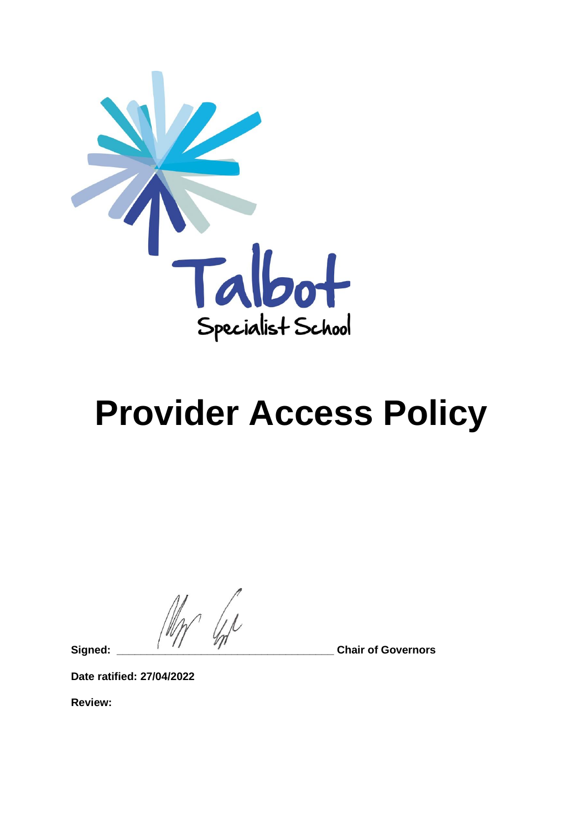

# **Provider Access Policy**

**Signed: \_\_\_\_\_\_\_\_\_\_\_\_\_\_\_\_\_\_\_\_\_\_\_\_\_\_\_\_\_\_\_\_\_\_\_\_ Chair of Governors**

**Date ratified: 27/04/2022**

**Review:**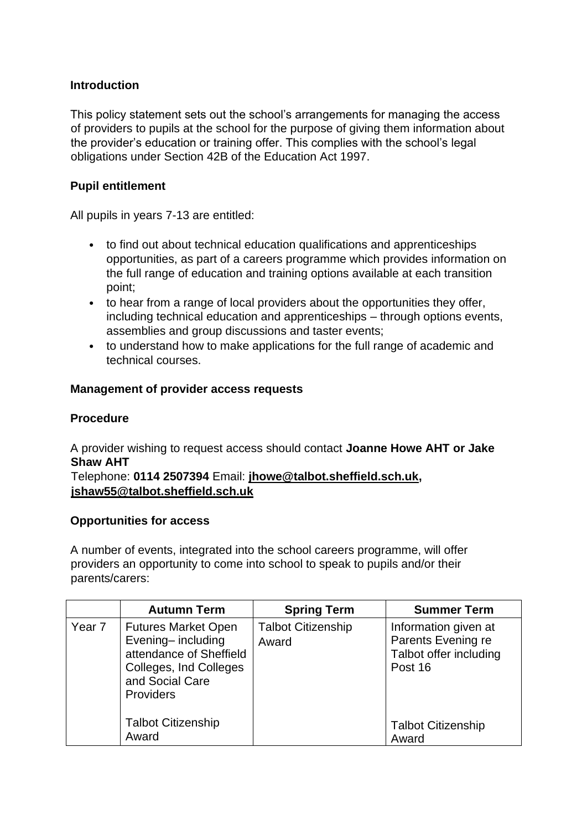### **Introduction**

This policy statement sets out the school's arrangements for managing the access of providers to pupils at the school for the purpose of giving them information about the provider's education or training offer. This complies with the school's legal obligations under Section 42B of the Education Act 1997.

### **Pupil entitlement**

All pupils in years 7-13 are entitled:

- to find out about technical education qualifications and apprenticeships opportunities, as part of a careers programme which provides information on the full range of education and training options available at each transition point;
- to hear from a range of local providers about the opportunities they offer, including technical education and apprenticeships – through options events, assemblies and group discussions and taster events;
- to understand how to make applications for the full range of academic and technical courses.

### **Management of provider access requests**

#### **Procedure**

A provider wishing to request access should contact **Joanne Howe AHT or Jake Shaw AHT**

Telephone: **0114 2507394** Email: **[jhowe@talbot.sheffield.sch.uk,](mailto:jhowe@talbot.sheffield.sch.uk) [jshaw55@talbot.sheffield.sch.uk](mailto:jshaw55@talbot.sheffield.sch.uk)**

#### **Opportunities for access**

A number of events, integrated into the school careers programme, will offer providers an opportunity to come into school to speak to pupils and/or their parents/carers:

|        | <b>Autumn Term</b>                                                                                                                          | <b>Spring Term</b>                 | <b>Summer Term</b>                                                              |
|--------|---------------------------------------------------------------------------------------------------------------------------------------------|------------------------------------|---------------------------------------------------------------------------------|
| Year 7 | <b>Futures Market Open</b><br>Evening-including<br>attendance of Sheffield<br>Colleges, Ind Colleges<br>and Social Care<br><b>Providers</b> | <b>Talbot Citizenship</b><br>Award | Information given at<br>Parents Evening re<br>Talbot offer including<br>Post 16 |
|        | <b>Talbot Citizenship</b><br>Award                                                                                                          |                                    | <b>Talbot Citizenship</b><br>Award                                              |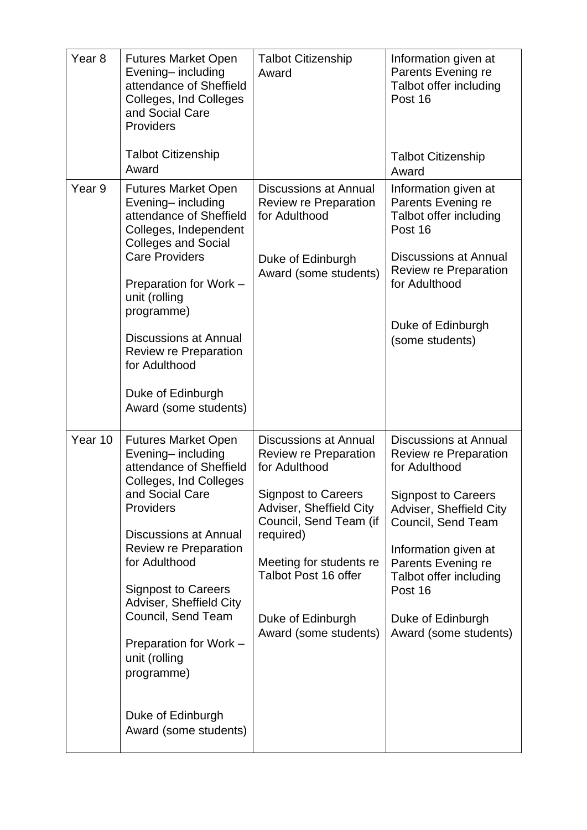| Year <sub>8</sub> | <b>Futures Market Open</b><br>Evening-including<br>attendance of Sheffield<br>Colleges, Ind Colleges<br>and Social Care<br>Providers<br><b>Talbot Citizenship</b><br>Award | <b>Talbot Citizenship</b><br>Award                                                           | Information given at<br>Parents Evening re<br>Talbot offer including<br>Post 16<br><b>Talbot Citizenship</b><br>Award |
|-------------------|----------------------------------------------------------------------------------------------------------------------------------------------------------------------------|----------------------------------------------------------------------------------------------|-----------------------------------------------------------------------------------------------------------------------|
| Year 9            | <b>Futures Market Open</b><br>Evening-including<br>attendance of Sheffield                                                                                                 | <b>Discussions at Annual</b><br><b>Review re Preparation</b><br>for Adulthood                | Information given at<br>Parents Evening re<br>Talbot offer including<br>Post 16                                       |
|                   | Colleges, Independent<br><b>Colleges and Social</b><br><b>Care Providers</b><br>Preparation for Work -<br>unit (rolling                                                    | Duke of Edinburgh<br>Award (some students)                                                   | <b>Discussions at Annual</b><br>Review re Preparation<br>for Adulthood                                                |
|                   | programme)<br><b>Discussions at Annual</b><br>Review re Preparation<br>for Adulthood                                                                                       |                                                                                              | Duke of Edinburgh<br>(some students)                                                                                  |
|                   | Duke of Edinburgh<br>Award (some students)                                                                                                                                 |                                                                                              |                                                                                                                       |
| Year 10           | <b>Futures Market Open</b><br>Evening-including<br>attendance of Sheffield<br>Colleges, Ind Colleges<br>and Social Care<br>Providers<br><b>Discussions at Annual</b>       | <b>Discussions at Annual</b><br>Review re Preparation<br>for Adulthood                       | <b>Discussions at Annual</b><br>Review re Preparation<br>for Adulthood                                                |
|                   |                                                                                                                                                                            | <b>Signpost to Careers</b><br>Adviser, Sheffield City<br>Council, Send Team (if<br>required) | <b>Signpost to Careers</b><br>Adviser, Sheffield City<br>Council, Send Team                                           |
|                   | Review re Preparation<br>for Adulthood                                                                                                                                     | Meeting for students re<br>Talbot Post 16 offer                                              | Information given at<br>Parents Evening re<br>Talbot offer including                                                  |
|                   | <b>Signpost to Careers</b><br>Adviser, Sheffield City<br>Council, Send Team<br>Preparation for Work -<br>unit (rolling<br>programme)                                       | Duke of Edinburgh<br>Award (some students)                                                   | Post 16<br>Duke of Edinburgh<br>Award (some students)                                                                 |
|                   |                                                                                                                                                                            |                                                                                              |                                                                                                                       |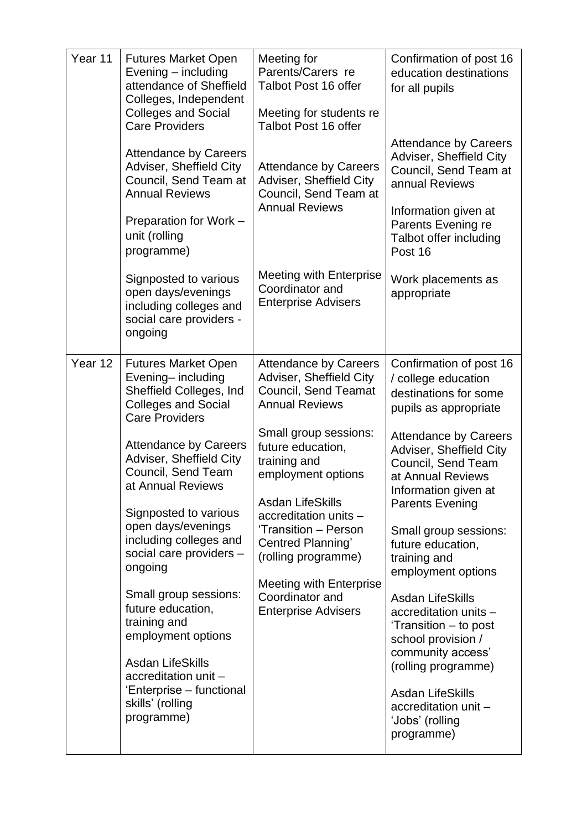| Year 11 | <b>Futures Market Open</b><br>Evening - including<br>attendance of Sheffield<br>Colleges, Independent<br><b>Colleges and Social</b><br><b>Care Providers</b>                                                                                                                                                                                                                                                                                                                                                                                                | Meeting for<br>Parents/Carers re<br>Talbot Post 16 offer<br>Meeting for students re<br>Talbot Post 16 offer                                                                                                                                                                                                                                                                                             | Confirmation of post 16<br>education destinations<br>for all pupils                                                                                                                                                                                                                                                                                                                                                                                                                                                                                                      |
|---------|-------------------------------------------------------------------------------------------------------------------------------------------------------------------------------------------------------------------------------------------------------------------------------------------------------------------------------------------------------------------------------------------------------------------------------------------------------------------------------------------------------------------------------------------------------------|---------------------------------------------------------------------------------------------------------------------------------------------------------------------------------------------------------------------------------------------------------------------------------------------------------------------------------------------------------------------------------------------------------|--------------------------------------------------------------------------------------------------------------------------------------------------------------------------------------------------------------------------------------------------------------------------------------------------------------------------------------------------------------------------------------------------------------------------------------------------------------------------------------------------------------------------------------------------------------------------|
|         | <b>Attendance by Careers</b><br>Adviser, Sheffield City<br>Council, Send Team at<br><b>Annual Reviews</b><br>Preparation for Work -<br>unit (rolling<br>programme)                                                                                                                                                                                                                                                                                                                                                                                          | <b>Attendance by Careers</b><br>Adviser, Sheffield City<br>Council, Send Team at<br><b>Annual Reviews</b>                                                                                                                                                                                                                                                                                               | <b>Attendance by Careers</b><br>Adviser, Sheffield City<br>Council, Send Team at<br>annual Reviews<br>Information given at<br>Parents Evening re<br>Talbot offer including<br>Post 16                                                                                                                                                                                                                                                                                                                                                                                    |
|         | Signposted to various<br>open days/evenings<br>including colleges and<br>social care providers -<br>ongoing                                                                                                                                                                                                                                                                                                                                                                                                                                                 | <b>Meeting with Enterprise</b><br>Coordinator and<br><b>Enterprise Advisers</b>                                                                                                                                                                                                                                                                                                                         | Work placements as<br>appropriate                                                                                                                                                                                                                                                                                                                                                                                                                                                                                                                                        |
| Year 12 | <b>Futures Market Open</b><br>Evening-including<br>Sheffield Colleges, Ind<br><b>Colleges and Social</b><br><b>Care Providers</b><br><b>Attendance by Careers</b><br>Adviser, Sheffield City<br>Council, Send Team<br>at Annual Reviews<br>Signposted to various<br>open days/evenings<br>including colleges and<br>social care providers -<br>ongoing<br>Small group sessions:<br>future education,<br>training and<br>employment options<br><b>Asdan LifeSkills</b><br>accreditation unit -<br>'Enterprise - functional<br>skills' (rolling<br>programme) | <b>Attendance by Careers</b><br>Adviser, Sheffield City<br>Council, Send Teamat<br><b>Annual Reviews</b><br>Small group sessions:<br>future education,<br>training and<br>employment options<br><b>Asdan LifeSkills</b><br>accreditation units -<br>'Transition - Person<br>Centred Planning'<br>(rolling programme)<br><b>Meeting with Enterprise</b><br>Coordinator and<br><b>Enterprise Advisers</b> | Confirmation of post 16<br>/ college education<br>destinations for some<br>pupils as appropriate<br><b>Attendance by Careers</b><br>Adviser, Sheffield City<br>Council, Send Team<br>at Annual Reviews<br>Information given at<br><b>Parents Evening</b><br>Small group sessions:<br>future education,<br>training and<br>employment options<br>Asdan LifeSkills<br>accreditation units -<br>'Transition – to post<br>school provision /<br>community access'<br>(rolling programme)<br><b>Asdan LifeSkills</b><br>accreditation unit -<br>ʻJobs' (rolling<br>programme) |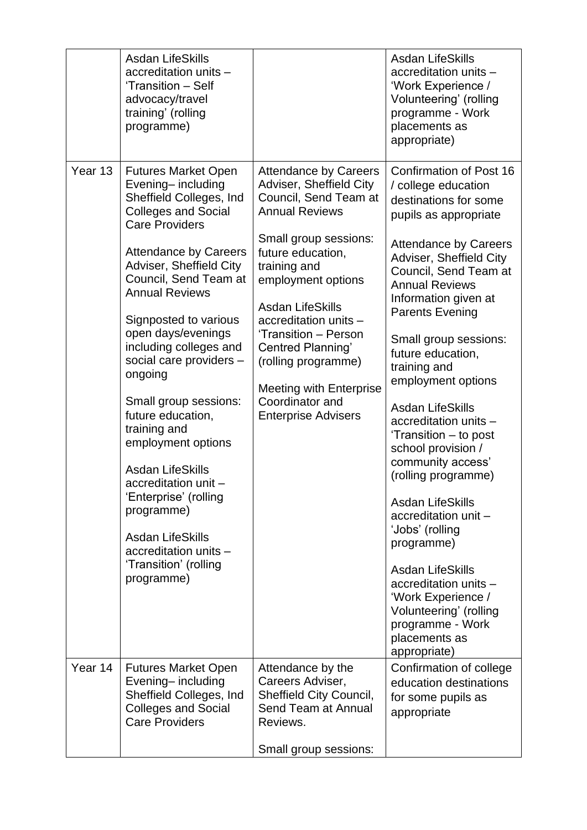|         | <b>Asdan LifeSkills</b><br>accreditation units -<br>'Transition - Self<br>advocacy/travel<br>training' (rolling<br>programme)                                                                                                                                                                                                                                                                                                                                                                                                                                                                                                          |                                                                                                                                                                                                                                                                                                                                                                                                          | <b>Asdan LifeSkills</b><br>accreditation units -<br>'Work Experience /<br>Volunteering' (rolling<br>programme - Work<br>placements as<br>appropriate)                                                                                                                                                                                                                                                                                                                                                                                                                                                                                                                                                                                    |
|---------|----------------------------------------------------------------------------------------------------------------------------------------------------------------------------------------------------------------------------------------------------------------------------------------------------------------------------------------------------------------------------------------------------------------------------------------------------------------------------------------------------------------------------------------------------------------------------------------------------------------------------------------|----------------------------------------------------------------------------------------------------------------------------------------------------------------------------------------------------------------------------------------------------------------------------------------------------------------------------------------------------------------------------------------------------------|------------------------------------------------------------------------------------------------------------------------------------------------------------------------------------------------------------------------------------------------------------------------------------------------------------------------------------------------------------------------------------------------------------------------------------------------------------------------------------------------------------------------------------------------------------------------------------------------------------------------------------------------------------------------------------------------------------------------------------------|
| Year 13 | <b>Futures Market Open</b><br>Evening-including<br>Sheffield Colleges, Ind<br><b>Colleges and Social</b><br><b>Care Providers</b><br><b>Attendance by Careers</b><br>Adviser, Sheffield City<br>Council, Send Team at<br><b>Annual Reviews</b><br>Signposted to various<br>open days/evenings<br>including colleges and<br>social care providers -<br>ongoing<br>Small group sessions:<br>future education,<br>training and<br>employment options<br><b>Asdan LifeSkills</b><br>accreditation unit -<br>'Enterprise' (rolling<br>programme)<br><b>Asdan LifeSkills</b><br>accreditation units -<br>'Transition' (rolling<br>programme) | <b>Attendance by Careers</b><br>Adviser, Sheffield City<br>Council, Send Team at<br><b>Annual Reviews</b><br>Small group sessions:<br>future education,<br>training and<br>employment options<br><b>Asdan LifeSkills</b><br>accreditation units -<br>'Transition - Person<br>Centred Planning'<br>(rolling programme)<br><b>Meeting with Enterprise</b><br>Coordinator and<br><b>Enterprise Advisers</b> | Confirmation of Post 16<br>/ college education<br>destinations for some<br>pupils as appropriate<br><b>Attendance by Careers</b><br>Adviser, Sheffield City<br>Council, Send Team at<br><b>Annual Reviews</b><br>Information given at<br><b>Parents Evening</b><br>Small group sessions:<br>future education,<br>training and<br>employment options<br><b>Asdan LifeSkills</b><br>accreditation units -<br>'Transition - to post<br>school provision /<br>community access'<br>(rolling programme)<br><b>Asdan LifeSkills</b><br>accreditation unit -<br>'Jobs' (rolling<br>programme)<br>Asdan LifeSkills<br>accreditation units -<br>'Work Experience /<br>Volunteering' (rolling<br>programme - Work<br>placements as<br>appropriate) |
| Year 14 | <b>Futures Market Open</b><br>Evening-including<br>Sheffield Colleges, Ind<br><b>Colleges and Social</b><br><b>Care Providers</b>                                                                                                                                                                                                                                                                                                                                                                                                                                                                                                      | Attendance by the<br>Careers Adviser,<br>Sheffield City Council,<br>Send Team at Annual<br>Reviews.<br>Small group sessions:                                                                                                                                                                                                                                                                             | Confirmation of college<br>education destinations<br>for some pupils as<br>appropriate                                                                                                                                                                                                                                                                                                                                                                                                                                                                                                                                                                                                                                                   |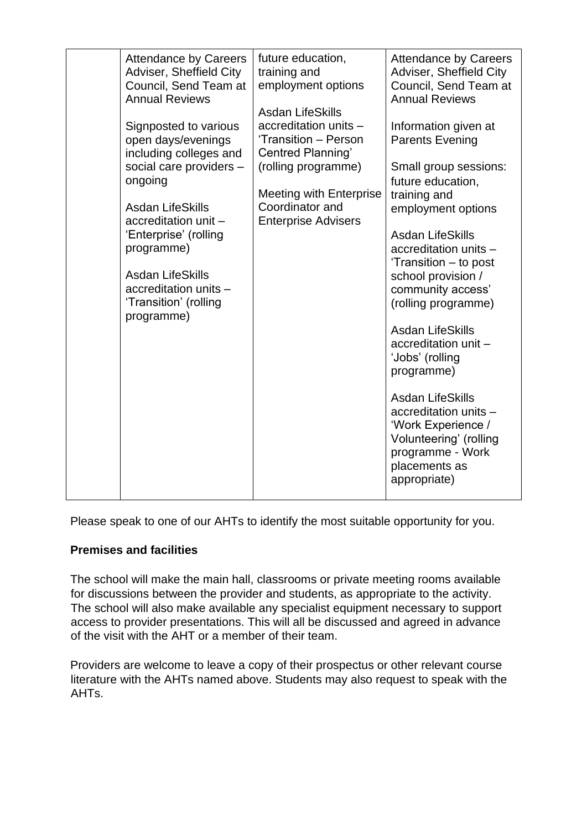| <b>Attendance by Careers</b><br>Adviser, Sheffield City<br>Council, Send Team at<br><b>Annual Reviews</b>                                                                                                                                                                                        | future education,<br>training and<br>employment options                                                                                                                                                 | <b>Attendance by Careers</b><br>Adviser, Sheffield City<br>Council, Send Team at<br><b>Annual Reviews</b>                                                                                                                                                                                                                                                                                                                                                                                                                      |
|--------------------------------------------------------------------------------------------------------------------------------------------------------------------------------------------------------------------------------------------------------------------------------------------------|---------------------------------------------------------------------------------------------------------------------------------------------------------------------------------------------------------|--------------------------------------------------------------------------------------------------------------------------------------------------------------------------------------------------------------------------------------------------------------------------------------------------------------------------------------------------------------------------------------------------------------------------------------------------------------------------------------------------------------------------------|
| Signposted to various<br>open days/evenings<br>including colleges and<br>social care providers -<br>ongoing<br><b>Asdan LifeSkills</b><br>accreditation unit -<br>'Enterprise' (rolling<br>programme)<br><b>Asdan LifeSkills</b><br>accreditation units -<br>'Transition' (rolling<br>programme) | <b>Asdan LifeSkills</b><br>accreditation units -<br>'Transition - Person<br>Centred Planning'<br>(rolling programme)<br><b>Meeting with Enterprise</b><br>Coordinator and<br><b>Enterprise Advisers</b> | Information given at<br><b>Parents Evening</b><br>Small group sessions:<br>future education,<br>training and<br>employment options<br><b>Asdan LifeSkills</b><br>accreditation units -<br>'Transition – to post<br>school provision /<br>community access'<br>(rolling programme)<br><b>Asdan LifeSkills</b><br>accreditation unit -<br>'Jobs' (rolling<br>programme)<br><b>Asdan LifeSkills</b><br>accreditation units -<br>'Work Experience /<br>Volunteering' (rolling<br>programme - Work<br>placements as<br>appropriate) |
|                                                                                                                                                                                                                                                                                                  |                                                                                                                                                                                                         |                                                                                                                                                                                                                                                                                                                                                                                                                                                                                                                                |

Please speak to one of our AHTs to identify the most suitable opportunity for you.

### **Premises and facilities**

The school will make the main hall, classrooms or private meeting rooms available for discussions between the provider and students, as appropriate to the activity. The school will also make available any specialist equipment necessary to support access to provider presentations. This will all be discussed and agreed in advance of the visit with the AHT or a member of their team.

Providers are welcome to leave a copy of their prospectus or other relevant course literature with the AHTs named above. Students may also request to speak with the AHTs.